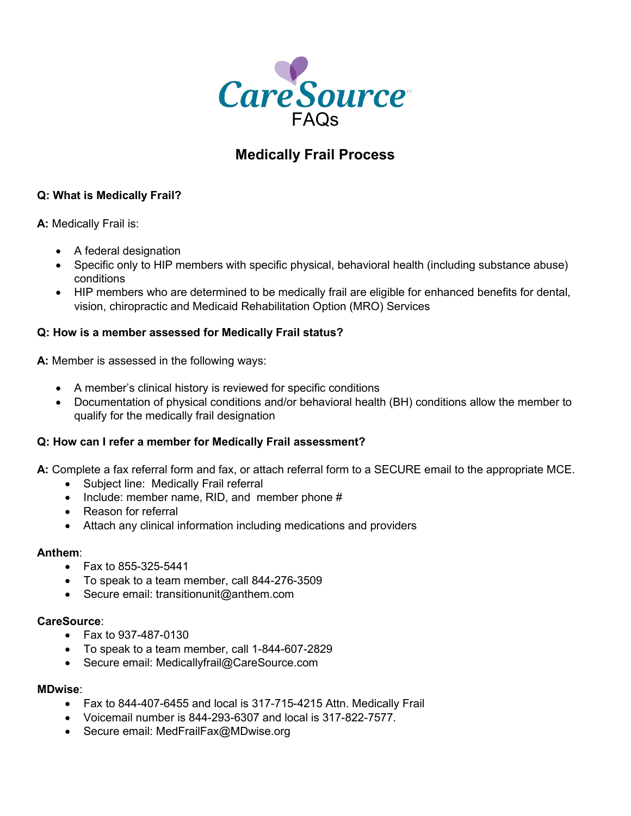

# **Medically Frail Process**

# **Q: What is Medically Frail?**

**A:** Medically Frail is:

- A federal designation
- Specific only to HIP members with specific physical, behavioral health (including substance abuse) conditions
- HIP members who are determined to be medically frail are eligible for enhanced benefits for dental, vision, chiropractic and Medicaid Rehabilitation Option (MRO) Services

## **Q: How is a member assessed for Medically Frail status?**

**A:** Member is assessed in the following ways:

- A member's clinical history is reviewed for specific conditions
- Documentation of physical conditions and/or behavioral health (BH) conditions allow the member to qualify for the medically frail designation

## **Q: How can I refer a member for Medically Frail assessment?**

**A:** Complete a fax referral form and fax, or attach referral form to a SECURE email to the appropriate MCE.

- Subject line: Medically Frail referral
- Include: member name, RID, and member phone #
- Reason for referral
- Attach any clinical information including medications and providers

## **Anthem**:

- Fax to  $855 325 5441$
- To speak to a team member, call 844-276-3509
- Secure email: [transitionunit@anthem.com](mailto:transitionunit@anthem.com)

## **CareSource**:

- Fax to 937-487-0130
- To speak to a team member, call 1-844-607-2829
- Secure email: [Medicallyfrail@CareSource.com](mailto:Medicallyfrail@CareSource.com)

## **MDwise**:

- Fax to 844-407-6455 and local is 317-715-4215 Attn. Medically Frail
- Voicemail number is 844-293-6307 and local is 317-822-7577.
- Secure email: MedFrailFax@MDwise.org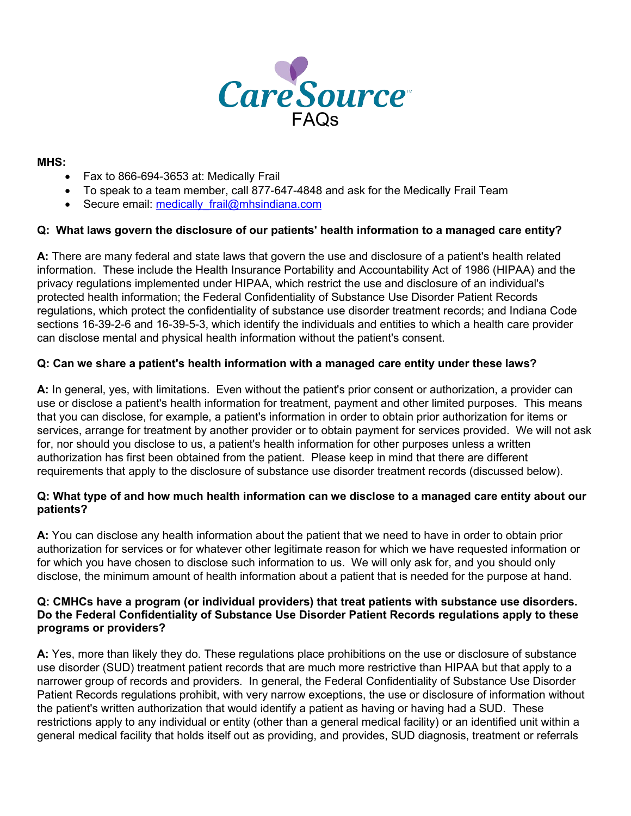

**MHS:**

- Fax to 866-694-3653 at: Medically Frail
- To speak to a team member, call 877-647-4848 and ask for the Medically Frail Team
- Secure email: medically frail@mhsindiana.com

## **Q: What laws govern the disclosure of our patients' health information to a managed care entity?**

**A:** There are many federal and state laws that govern the use and disclosure of a patient's health related information. These include the Health Insurance Portability and Accountability Act of 1986 (HIPAA) and the privacy regulations implemented under HIPAA, which restrict the use and disclosure of an individual's protected health information; the Federal Confidentiality of Substance Use Disorder Patient Records regulations, which protect the confidentiality of substance use disorder treatment records; and Indiana Code sections 16-39-2-6 and 16-39-5-3, which identify the individuals and entities to which a health care provider can disclose mental and physical health information without the patient's consent.

## **Q: Can we share a patient's health information with a managed care entity under these laws?**

**A:** In general, yes, with limitations. Even without the patient's prior consent or authorization, a provider can use or disclose a patient's health information for treatment, payment and other limited purposes. This means that you can disclose, for example, a patient's information in order to obtain prior authorization for items or services, arrange for treatment by another provider or to obtain payment for services provided. We will not ask for, nor should you disclose to us, a patient's health information for other purposes unless a written authorization has first been obtained from the patient. Please keep in mind that there are different requirements that apply to the disclosure of substance use disorder treatment records (discussed below).

## **Q: What type of and how much health information can we disclose to a managed care entity about our patients?**

**A:** You can disclose any health information about the patient that we need to have in order to obtain prior authorization for services or for whatever other legitimate reason for which we have requested information or for which you have chosen to disclose such information to us. We will only ask for, and you should only disclose, the minimum amount of health information about a patient that is needed for the purpose at hand.

#### **Q: CMHCs have a program (or individual providers) that treat patients with substance use disorders. Do the Federal Confidentiality of Substance Use Disorder Patient Records regulations apply to these programs or providers?**

**A:** Yes, more than likely they do. These regulations place prohibitions on the use or disclosure of substance use disorder (SUD) treatment patient records that are much more restrictive than HIPAA but that apply to a narrower group of records and providers. In general, the Federal Confidentiality of Substance Use Disorder Patient Records regulations prohibit, with very narrow exceptions, the use or disclosure of information without the patient's written authorization that would identify a patient as having or having had a SUD. These restrictions apply to any individual or entity (other than a general medical facility) or an identified unit within a general medical facility that holds itself out as providing, and provides, SUD diagnosis, treatment or referrals